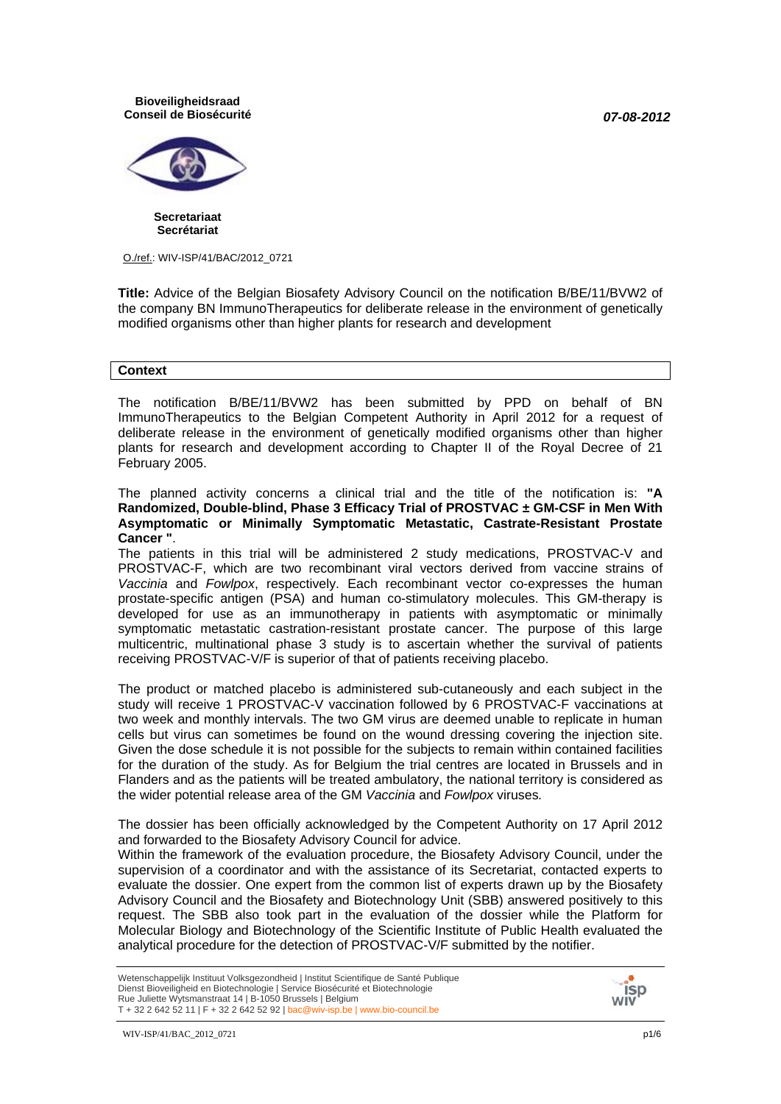*07-08-2012*

**Bioveiligheidsraad Conseil de Biosécurité**



**Secretariaat Secrétariat**

O./ref.: WIV-ISP/41/BAC/2012\_0721

**Title:** Advice of the Belgian Biosafety Advisory Council on the notification B/BE/11/BVW2 of the company BN ImmunoTherapeutics for deliberate release in the environment of genetically modified organisms other than higher plants for research and development

### **Context**

The notification B/BE/11/BVW2 has been submitted by PPD on behalf of BN ImmunoTherapeutics to the Belgian Competent Authority in April 2012 for a request of deliberate release in the environment of genetically modified organisms other than higher plants for research and development according to Chapter II of the Royal Decree of 21 February 2005.

The planned activity concerns a clinical trial and the title of the notification is: **"A Randomized, Double-blind, Phase 3 Efficacy Trial of PROSTVAC ± GM-CSF in Men With Asymptomatic or Minimally Symptomatic Metastatic, Castrate-Resistant Prostate Cancer "**.

The patients in this trial will be administered 2 study medications, PROSTVAC-V and PROSTVAC-F, which are two recombinant viral vectors derived from vaccine strains of *Vaccinia* and *Fowlpox*, respectively. Each recombinant vector co-expresses the human prostate-specific antigen (PSA) and human co-stimulatory molecules. This GM-therapy is developed for use as an immunotherapy in patients with asymptomatic or minimally symptomatic metastatic castration-resistant prostate cancer. The purpose of this large multicentric, multinational phase 3 study is to ascertain whether the survival of patients receiving PROSTVAC-V/F is superior of that of patients receiving placebo.

The product or matched placebo is administered sub-cutaneously and each subject in the study will receive 1 PROSTVAC-V vaccination followed by 6 PROSTVAC-F vaccinations at two week and monthly intervals. The two GM virus are deemed unable to replicate in human cells but virus can sometimes be found on the wound dressing covering the injection site. Given the dose schedule it is not possible for the subjects to remain within contained facilities for the duration of the study. As for Belgium the trial centres are located in Brussels and in Flanders and as the patients will be treated ambulatory, the national territory is considered as the wider potential release area of the GM *Vaccinia* and *Fowlpox* viruses*.*

The dossier has been officially acknowledged by the Competent Authority on 17 April 2012 and forwarded to the Biosafety Advisory Council for advice.

Within the framework of the evaluation procedure, the Biosafety Advisory Council, under the supervision of a coordinator and with the assistance of its Secretariat, contacted experts to evaluate the dossier. One expert from the common list of experts drawn up by the Biosafety Advisory Council and the Biosafety and Biotechnology Unit (SBB) answered positively to this request. The SBB also took part in the evaluation of the dossier while the Platform for Molecular Biology and Biotechnology of the Scientific Institute of Public Health evaluated the analytical procedure for the detection of PROSTVAC-V/F submitted by the notifier.

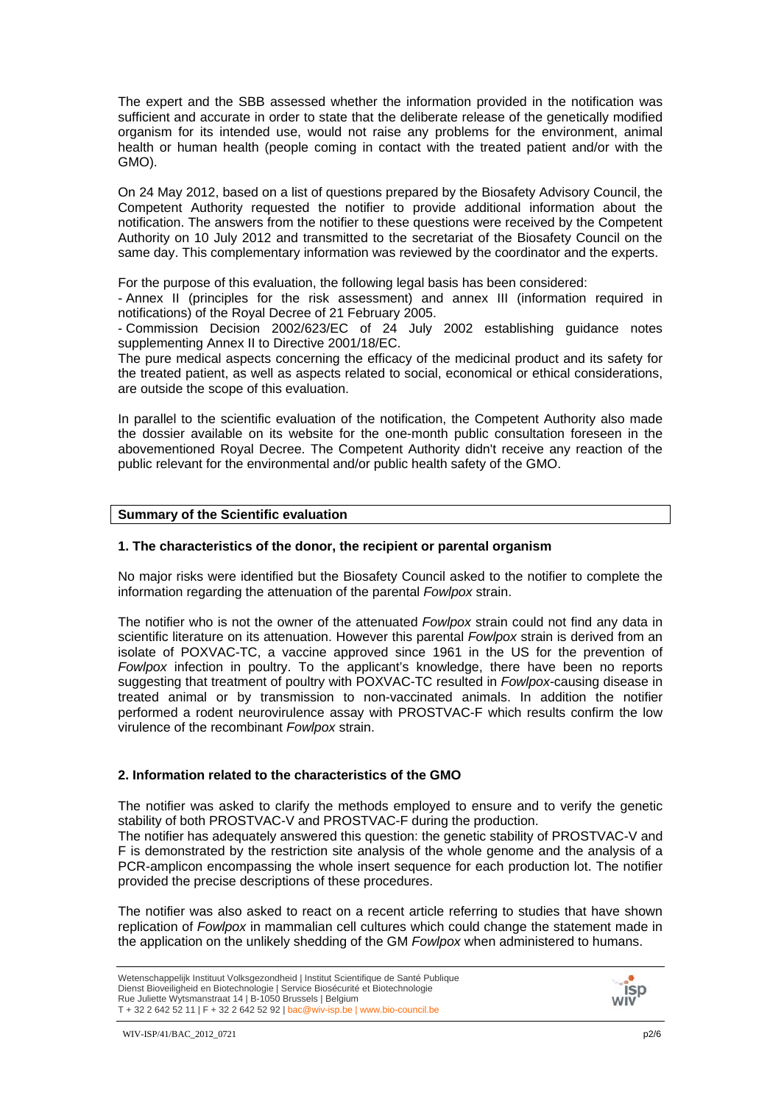The expert and the SBB assessed whether the information provided in the notification was sufficient and accurate in order to state that the deliberate release of the genetically modified organism for its intended use, would not raise any problems for the environment, animal health or human health (people coming in contact with the treated patient and/or with the GMO).

On 24 May 2012, based on a list of questions prepared by the Biosafety Advisory Council, the Competent Authority requested the notifier to provide additional information about the notification. The answers from the notifier to these questions were received by the Competent Authority on 10 July 2012 and transmitted to the secretariat of the Biosafety Council on the same day. This complementary information was reviewed by the coordinator and the experts.

For the purpose of this evaluation, the following legal basis has been considered:

- Annex II (principles for the risk assessment) and annex III (information required in notifications) of the Royal Decree of 21 February 2005.

- Commission Decision 2002/623/EC of 24 July 2002 establishing guidance notes supplementing Annex II to Directive 2001/18/EC.

The pure medical aspects concerning the efficacy of the medicinal product and its safety for the treated patient, as well as aspects related to social, economical or ethical considerations, are outside the scope of this evaluation.

In parallel to the scientific evaluation of the notification, the Competent Authority also made the dossier available on its website for the one-month public consultation foreseen in the abovementioned Royal Decree. The Competent Authority didn't receive any reaction of the public relevant for the environmental and/or public health safety of the GMO.

### **Summary of the Scientific evaluation**

### **1. The characteristics of the donor, the recipient or parental organism**

No major risks were identified but the Biosafety Council asked to the notifier to complete the information regarding the attenuation of the parental *Fowlpox* strain.

The notifier who is not the owner of the attenuated *Fowlpox* strain could not find any data in scientific literature on its attenuation. However this parental *Fowlpox* strain is derived from an isolate of POXVAC-TC, a vaccine approved since 1961 in the US for the prevention of *Fowlpox* infection in poultry. To the applicant's knowledge, there have been no reports suggesting that treatment of poultry with POXVAC-TC resulted in *Fowlpox*-causing disease in treated animal or by transmission to non-vaccinated animals. In addition the notifier performed a rodent neurovirulence assay with PROSTVAC-F which results confirm the low virulence of the recombinant *Fowlpox* strain.

### **2. Information related to the characteristics of the GMO**

The notifier was asked to clarify the methods employed to ensure and to verify the genetic stability of both PROSTVAC-V and PROSTVAC-F during the production.

The notifier has adequately answered this question: the genetic stability of PROSTVAC-V and F is demonstrated by the restriction site analysis of the whole genome and the analysis of a PCR-amplicon encompassing the whole insert sequence for each production lot. The notifier provided the precise descriptions of these procedures.

The notifier was also asked to react on a recent article referring to studies that have shown replication of *Fowlpox* in mammalian cell cultures which could change the statement made in the application on the unlikely shedding of the GM *Fowlpox* when administered to humans.



Wetenschappelijk Instituut Volksgezondheid | Institut Scientifique de Santé Publique Dienst Bioveiligheid en Biotechnologie | Service Biosécurité et Biotechnologie Rue Juliette Wytsmanstraat 14 | B-1050 Brussels | Belgium T + 32 2 642 52 11 | F + 32 2 642 52 92 | bac@wiv-isp.be | www.bio-council.be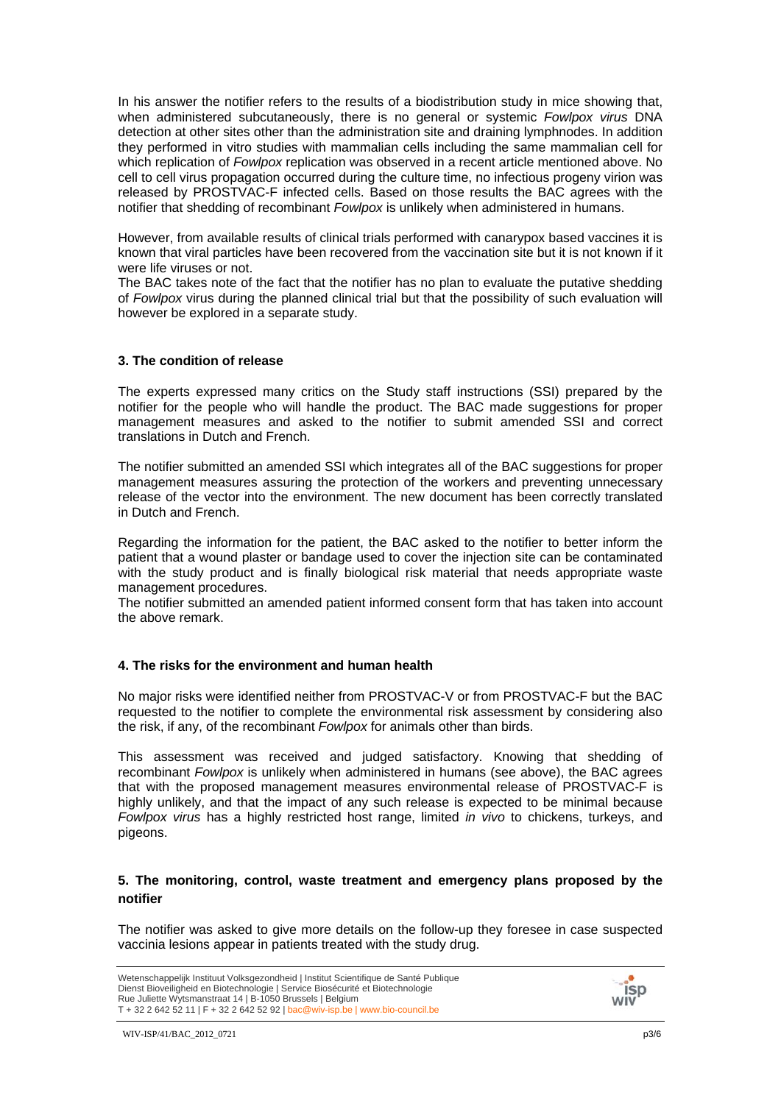In his answer the notifier refers to the results of a biodistribution study in mice showing that, when administered subcutaneously, there is no general or systemic *Fowlpox virus* DNA detection at other sites other than the administration site and draining lymphnodes. In addition they performed in vitro studies with mammalian cells including the same mammalian cell for which replication of *Fowlpox* replication was observed in a recent article mentioned above. No cell to cell virus propagation occurred during the culture time, no infectious progeny virion was released by PROSTVAC-F infected cells. Based on those results the BAC agrees with the notifier that shedding of recombinant *Fowlpox* is unlikely when administered in humans.

However, from available results of clinical trials performed with canarypox based vaccines it is known that viral particles have been recovered from the vaccination site but it is not known if it were life viruses or not.

The BAC takes note of the fact that the notifier has no plan to evaluate the putative shedding of *Fowlpox* virus during the planned clinical trial but that the possibility of such evaluation will however be explored in a separate study.

### **3. The condition of release**

The experts expressed many critics on the Study staff instructions (SSI) prepared by the notifier for the people who will handle the product. The BAC made suggestions for proper management measures and asked to the notifier to submit amended SSI and correct translations in Dutch and French.

The notifier submitted an amended SSI which integrates all of the BAC suggestions for proper management measures assuring the protection of the workers and preventing unnecessary release of the vector into the environment. The new document has been correctly translated in Dutch and French.

Regarding the information for the patient, the BAC asked to the notifier to better inform the patient that a wound plaster or bandage used to cover the injection site can be contaminated with the study product and is finally biological risk material that needs appropriate waste management procedures.

The notifier submitted an amended patient informed consent form that has taken into account the above remark.

### **4. The risks for the environment and human health**

No major risks were identified neither from PROSTVAC-V or from PROSTVAC-F but the BAC requested to the notifier to complete the environmental risk assessment by considering also the risk, if any, of the recombinant *Fowlpox* for animals other than birds.

This assessment was received and judged satisfactory. Knowing that shedding of recombinant *Fowlpox* is unlikely when administered in humans (see above), the BAC agrees that with the proposed management measures environmental release of PROSTVAC-F is highly unlikely, and that the impact of any such release is expected to be minimal because *Fowlpox virus* has a highly restricted host range, limited *in vivo* to chickens, turkeys, and pigeons.

### **5. The monitoring, control, waste treatment and emergency plans proposed by the notifier**

The notifier was asked to give more details on the follow-up they foresee in case suspected vaccinia lesions appear in patients treated with the study drug.



Wetenschappelijk Instituut Volksgezondheid | Institut Scientifique de Santé Publique Dienst Bioveiligheid en Biotechnologie | Service Biosécurité et Biotechnologie Rue Juliette Wytsmanstraat 14 | B-1050 Brussels | Belgium T + 32 2 642 52 11 | F + 32 2 642 52 92 | bac@wiv-isp.be | www.bio-council.be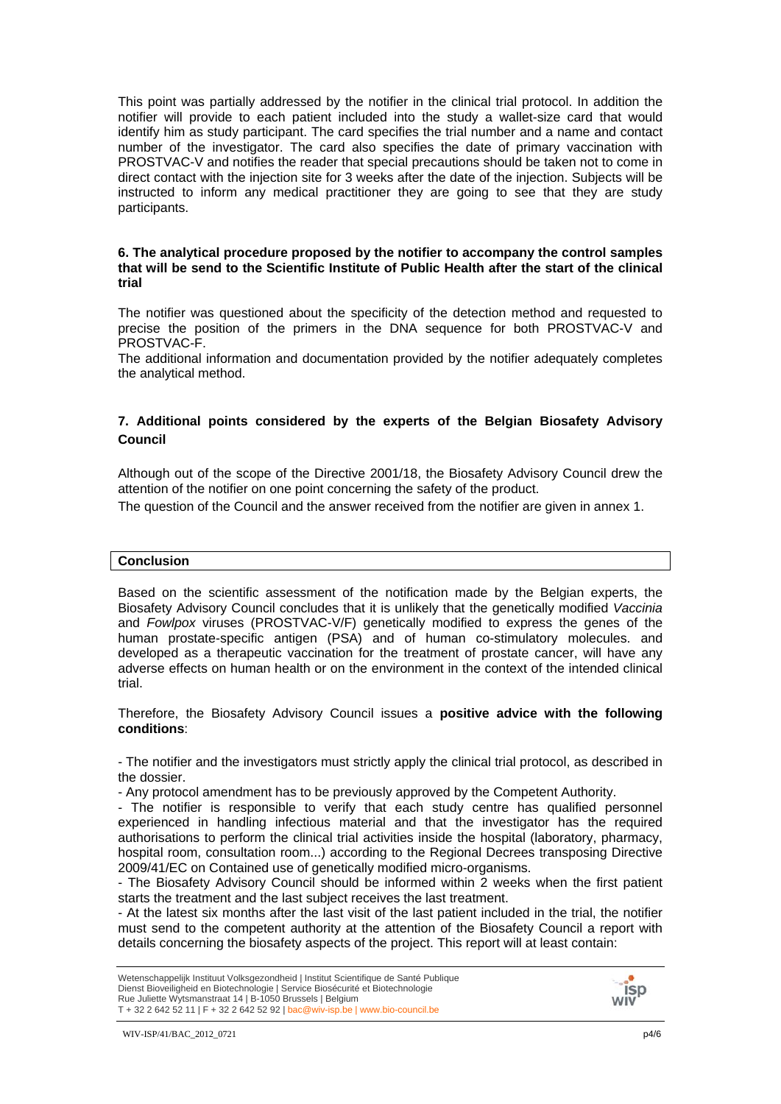This point was partially addressed by the notifier in the clinical trial protocol. In addition the notifier will provide to each patient included into the study a wallet-size card that would identify him as study participant. The card specifies the trial number and a name and contact number of the investigator. The card also specifies the date of primary vaccination with PROSTVAC-V and notifies the reader that special precautions should be taken not to come in direct contact with the injection site for 3 weeks after the date of the injection. Subjects will be instructed to inform any medical practitioner they are going to see that they are study participants.

### **6. The analytical procedure proposed by the notifier to accompany the control samples that will be send to the Scientific Institute of Public Health after the start of the clinical trial**

The notifier was questioned about the specificity of the detection method and requested to precise the position of the primers in the DNA sequence for both PROSTVAC-V and PROSTVAC-F.

The additional information and documentation provided by the notifier adequately completes the analytical method.

## **7. Additional points considered by the experts of the Belgian Biosafety Advisory Council**

Although out of the scope of the Directive 2001/18, the Biosafety Advisory Council drew the attention of the notifier on one point concerning the safety of the product.

The question of the Council and the answer received from the notifier are given in annex 1.

#### **Conclusion**

Based on the scientific assessment of the notification made by the Belgian experts, the Biosafety Advisory Council concludes that it is unlikely that the genetically modified *Vaccinia*  and *Fowlpox* viruses (PROSTVAC-V/F) genetically modified to express the genes of the human prostate-specific antigen (PSA) and of human co-stimulatory molecules. and developed as a therapeutic vaccination for the treatment of prostate cancer, will have any adverse effects on human health or on the environment in the context of the intended clinical trial.

Therefore, the Biosafety Advisory Council issues a **positive advice with the following conditions**:

- The notifier and the investigators must strictly apply the clinical trial protocol, as described in the dossier.

- Any protocol amendment has to be previously approved by the Competent Authority.

- The notifier is responsible to verify that each study centre has qualified personnel experienced in handling infectious material and that the investigator has the required authorisations to perform the clinical trial activities inside the hospital (laboratory, pharmacy, hospital room, consultation room...) according to the Regional Decrees transposing Directive 2009/41/EC on Contained use of genetically modified micro-organisms.

- The Biosafety Advisory Council should be informed within 2 weeks when the first patient starts the treatment and the last subject receives the last treatment.

- At the latest six months after the last visit of the last patient included in the trial, the notifier must send to the competent authority at the attention of the Biosafety Council a report with details concerning the biosafety aspects of the project. This report will at least contain:

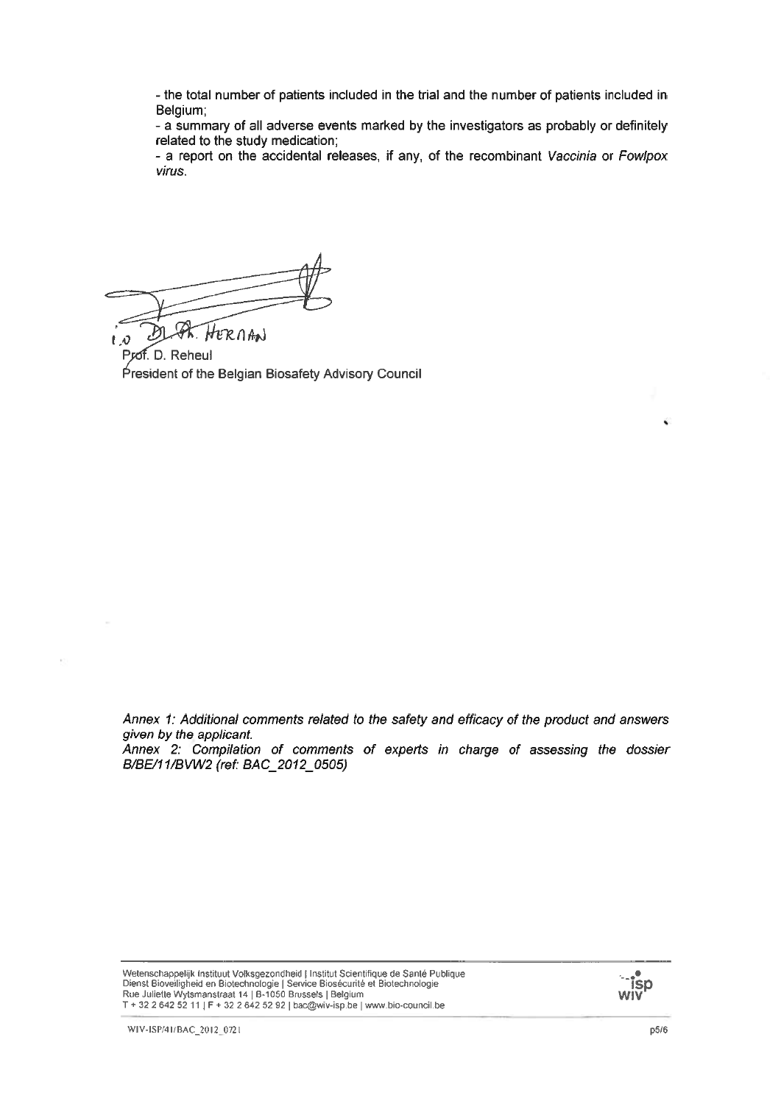- the total number of patients included in the trial and the number of patients included in Belgium:

- a summary of all adverse events marked by the investigators as probably or definitely related to the study medication;

- a report on the accidental releases, if any, of the recombinant Vaccinia or Fowlpox virus.

HERNAN

ΙЮ Prof. D. Reheul President of the Belgian Biosafety Advisory Council

Annex 1: Additional comments related to the safety and efficacy of the product and answers given by the applicant.

Annex 2: Compilation of comments of experts in charge of assessing the dossier B/BE/11/BVW2 (ref: BAC 2012 0505)

Wetenschappelijk Instituut Volksgezondheid | Institut Scientifique de Santé Publique Victoria de la Biotechnologie | Service Biosécurité et Biotechnologie<br>Rienst Biovelligheid en Biotechnologie | Service Biosécurité et Biotechnologie<br>Rue Juliette Wytsmanstraat 14 | B-1050 Brussels | Belgium T + 32 2 642 52 11 | F + 32 2 642 52 92 | bac@wiv-isp.be | www.bio-council.be



 $\bar{z}$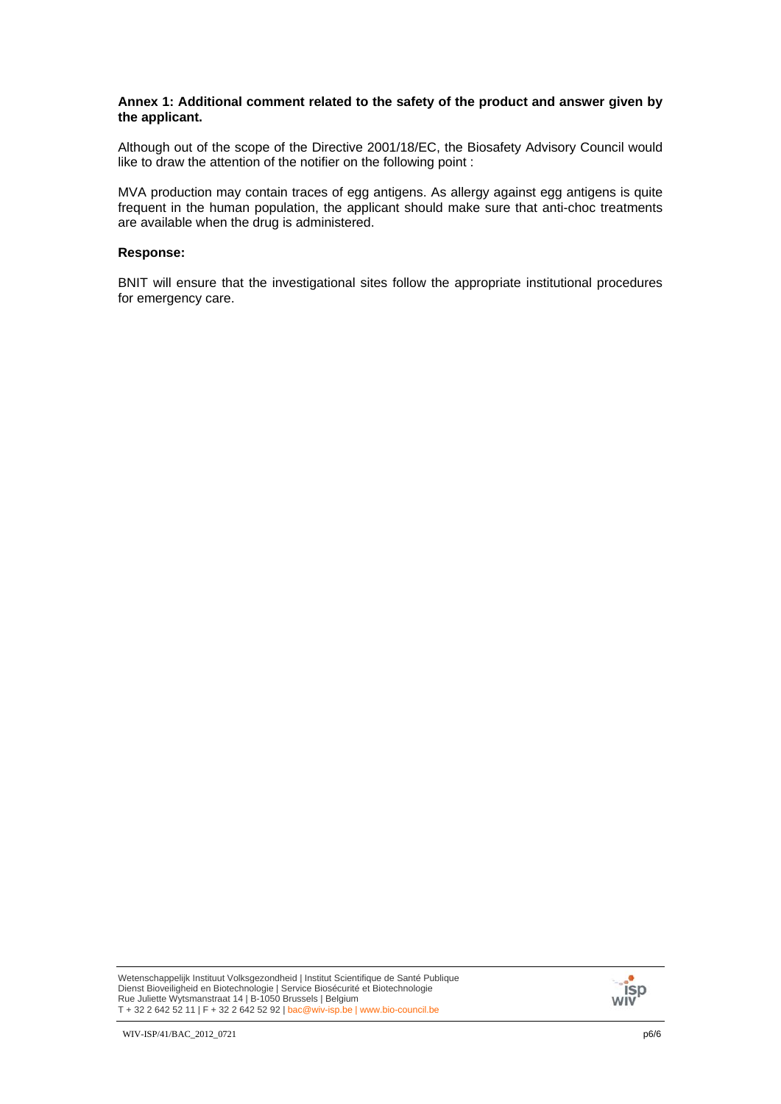### **Annex 1: Additional comment related to the safety of the product and answer given by the applicant.**

Although out of the scope of the Directive 2001/18/EC, the Biosafety Advisory Council would like to draw the attention of the notifier on the following point :

MVA production may contain traces of egg antigens. As allergy against egg antigens is quite frequent in the human population, the applicant should make sure that anti-choc treatments are available when the drug is administered.

### **Response:**

BNIT will ensure that the investigational sites follow the appropriate institutional procedures for emergency care.

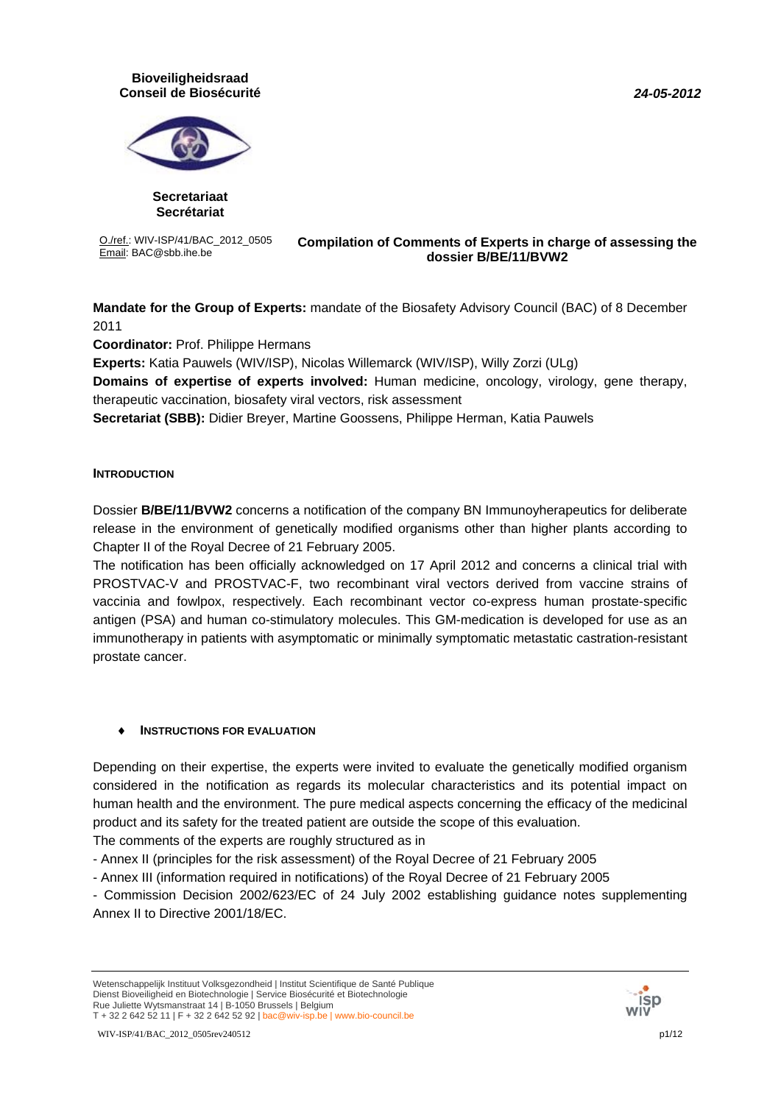### *24-05-2012*

### **Bioveiligheidsraad Conseil de Biosécurité**



**Secretariaat Secrétariat**

O./ref.: WIV-ISP/41/BAC\_2012\_0505

#### Email: BAC@sbb.ihe.be **Compilation of Comments of Experts in charge of assessing the dossier B/BE/11/BVW2**

**Mandate for the Group of Experts:** mandate of the Biosafety Advisory Council (BAC) of 8 December 2011

**Coordinator:** Prof. Philippe Hermans

**Experts:** Katia Pauwels (WIV/ISP), Nicolas Willemarck (WIV/ISP), Willy Zorzi (ULg)

**Domains of expertise of experts involved:** Human medicine, oncology, virology, gene therapy, therapeutic vaccination, biosafety viral vectors, risk assessment

**Secretariat (SBB):** Didier Breyer, Martine Goossens, Philippe Herman, Katia Pauwels

### **INTRODUCTION**

Dossier **B/BE/11/BVW2** concerns a notification of the company BN Immunoyherapeutics for deliberate release in the environment of genetically modified organisms other than higher plants according to Chapter II of the Royal Decree of 21 February 2005.

The notification has been officially acknowledged on 17 April 2012 and concerns a clinical trial with PROSTVAC-V and PROSTVAC-F, two recombinant viral vectors derived from vaccine strains of vaccinia and fowlpox, respectively. Each recombinant vector co-express human prostate-specific antigen (PSA) and human co-stimulatory molecules. This GM-medication is developed for use as an immunotherapy in patients with asymptomatic or minimally symptomatic metastatic castration-resistant prostate cancer.

### ♦ **INSTRUCTIONS FOR EVALUATION**

Depending on their expertise, the experts were invited to evaluate the genetically modified organism considered in the notification as regards its molecular characteristics and its potential impact on human health and the environment. The pure medical aspects concerning the efficacy of the medicinal product and its safety for the treated patient are outside the scope of this evaluation.

The comments of the experts are roughly structured as in

- Annex II (principles for the risk assessment) of the Royal Decree of 21 February 2005

- Annex III (information required in notifications) of the Royal Decree of 21 February 2005

- Commission Decision 2002/623/EC of 24 July 2002 establishing guidance notes supplementing Annex II to Directive 2001/18/EC.



Wetenschappelijk Instituut Volksgezondheid | Institut Scientifique de Santé Publique Dienst Bioveiligheid en Biotechnologie | Service Biosécurité et Biotechnologie Rue Juliette Wytsmanstraat 14 | B-1050 Brussels | Belgium T + 32 2 642 52 11 | F + 32 2 642 52 92 | bac@wiv-isp.be | www.bio-council.be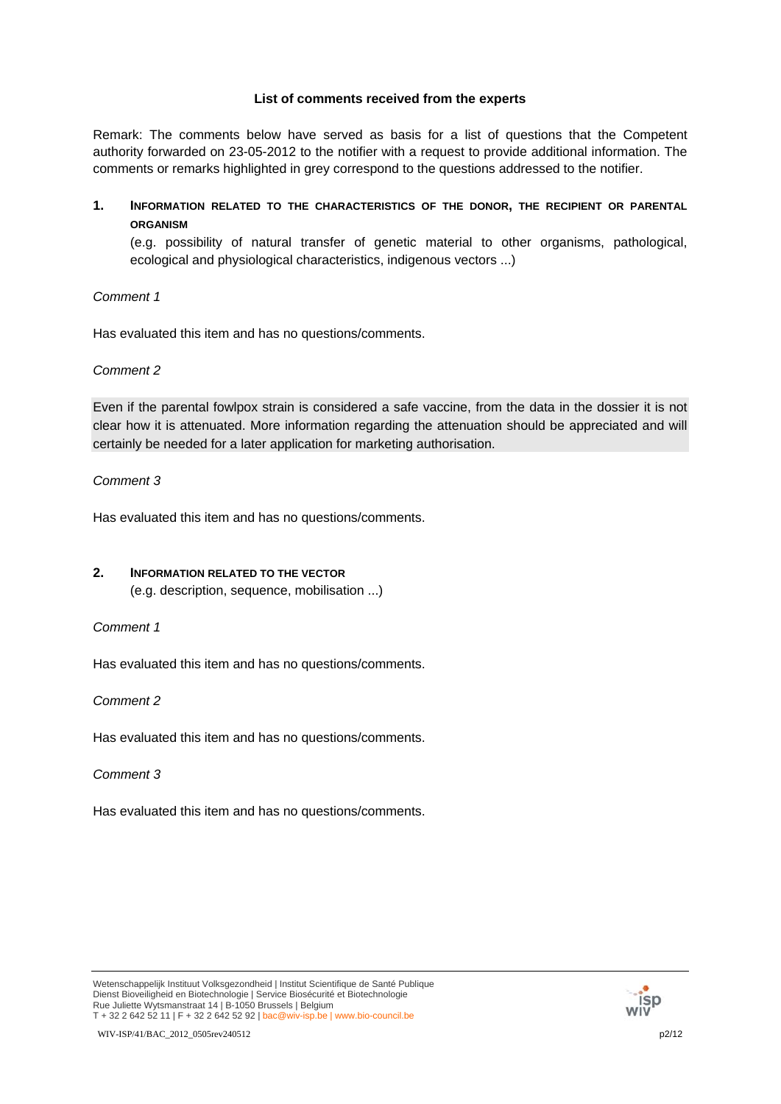### **List of comments received from the experts**

Remark: The comments below have served as basis for a list of questions that the Competent authority forwarded on 23-05-2012 to the notifier with a request to provide additional information. The comments or remarks highlighted in grey correspond to the questions addressed to the notifier.

**1. INFORMATION RELATED TO THE CHARACTERISTICS OF THE DONOR, THE RECIPIENT OR PARENTAL ORGANISM**

(e.g. possibility of natural transfer of genetic material to other organisms, pathological, ecological and physiological characteristics, indigenous vectors ...)

*Comment 1*

Has evaluated this item and has no questions/comments.

*Comment 2*

Even if the parental fowlpox strain is considered a safe vaccine, from the data in the dossier it is not clear how it is attenuated. More information regarding the attenuation should be appreciated and will certainly be needed for a later application for marketing authorisation.

*Comment 3*

Has evaluated this item and has no questions/comments.

### **2. INFORMATION RELATED TO THE VECTOR**

(e.g. description, sequence, mobilisation ...)

*Comment 1*

Has evaluated this item and has no questions/comments.

*Comment 2*

Has evaluated this item and has no questions/comments.

*Comment 3*

Has evaluated this item and has no questions/comments.

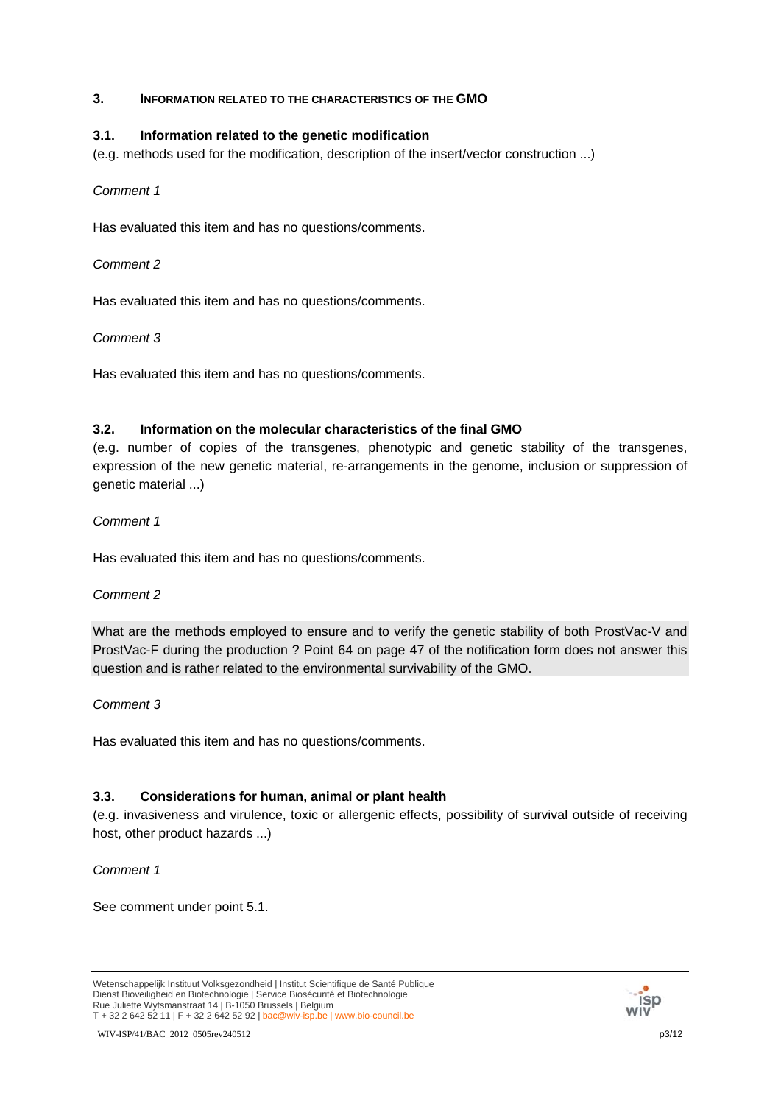### **3. INFORMATION RELATED TO THE CHARACTERISTICS OF THE GMO**

## **3.1. Information related to the genetic modification**

(e.g. methods used for the modification, description of the insert/vector construction ...)

### *Comment 1*

Has evaluated this item and has no questions/comments.

## *Comment 2*

Has evaluated this item and has no questions/comments.

## *Comment 3*

Has evaluated this item and has no questions/comments.

## **3.2. Information on the molecular characteristics of the final GMO**

(e.g. number of copies of the transgenes, phenotypic and genetic stability of the transgenes, expression of the new genetic material, re-arrangements in the genome, inclusion or suppression of genetic material ...)

## *Comment 1*

Has evaluated this item and has no questions/comments.

# *Comment 2*

What are the methods employed to ensure and to verify the genetic stability of both ProstVac-V and ProstVac-F during the production ? Point 64 on page 47 of the notification form does not answer this question and is rather related to the environmental survivability of the GMO.

# *Comment 3*

Has evaluated this item and has no questions/comments.

# **3.3. Considerations for human, animal or plant health**

(e.g. invasiveness and virulence, toxic or allergenic effects, possibility of survival outside of receiving host, other product hazards ...)

### *Comment 1*

See comment under point 5.1.



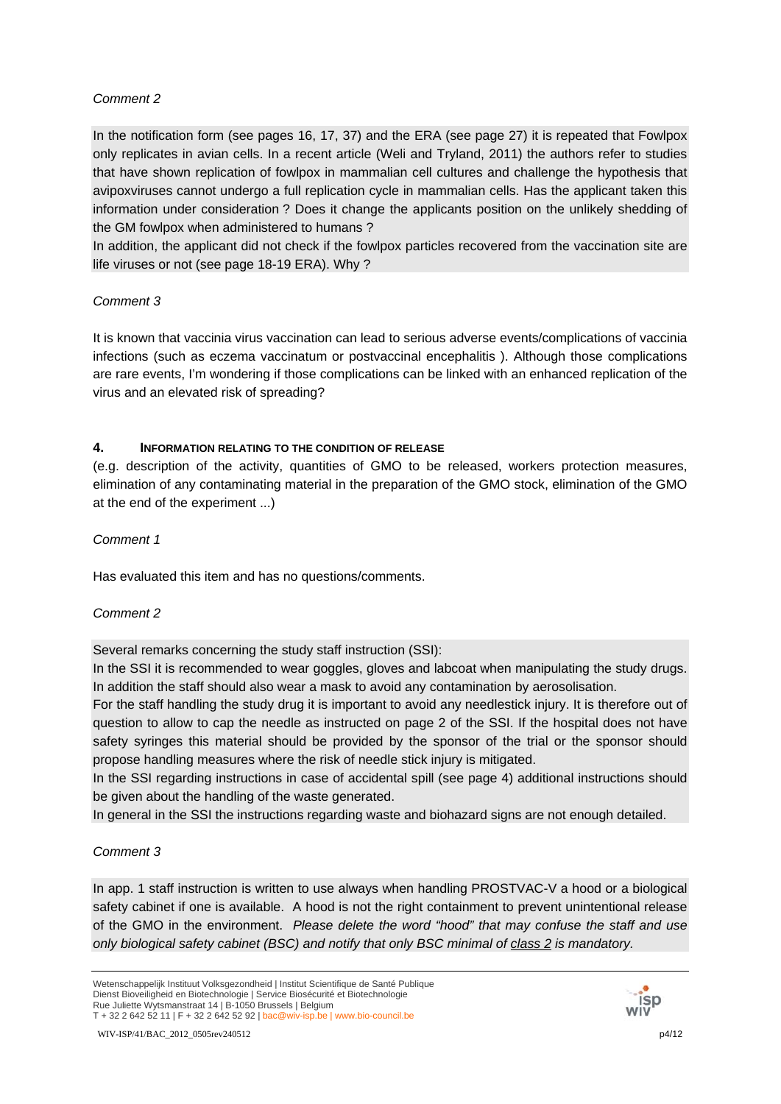In the notification form (see pages 16, 17, 37) and the ERA (see page 27) it is repeated that Fowlpox only replicates in avian cells. In a recent article (Weli and Tryland, 2011) the authors refer to studies that have shown replication of fowlpox in mammalian cell cultures and challenge the hypothesis that avipoxviruses cannot undergo a full replication cycle in mammalian cells. Has the applicant taken this information under consideration ? Does it change the applicants position on the unlikely shedding of the GM fowlpox when administered to humans ?

In addition, the applicant did not check if the fowlpox particles recovered from the vaccination site are life viruses or not (see page 18-19 ERA). Why ?

# *Comment 3*

It is known that vaccinia virus vaccination can lead to serious adverse events/complications of vaccinia infections (such as eczema vaccinatum or postvaccinal encephalitis ). Although those complications are rare events, I'm wondering if those complications can be linked with an enhanced replication of the virus and an elevated risk of spreading?

# **4. INFORMATION RELATING TO THE CONDITION OF RELEASE**

(e.g. description of the activity, quantities of GMO to be released, workers protection measures, elimination of any contaminating material in the preparation of the GMO stock, elimination of the GMO at the end of the experiment ...)

# *Comment 1*

Has evaluated this item and has no questions/comments.

# *Comment 2*

Several remarks concerning the study staff instruction (SSI):

In the SSI it is recommended to wear goggles, gloves and labcoat when manipulating the study drugs. In addition the staff should also wear a mask to avoid any contamination by aerosolisation.

For the staff handling the study drug it is important to avoid any needlestick injury. It is therefore out of question to allow to cap the needle as instructed on page 2 of the SSI. If the hospital does not have safety syringes this material should be provided by the sponsor of the trial or the sponsor should propose handling measures where the risk of needle stick injury is mitigated.

In the SSI regarding instructions in case of accidental spill (see page 4) additional instructions should be given about the handling of the waste generated.

In general in the SSI the instructions regarding waste and biohazard signs are not enough detailed.

# *Comment 3*

In app. 1 staff instruction is written to use always when handling PROSTVAC-V a hood or a biological safety cabinet if one is available. A hood is not the right containment to prevent unintentional release of the GMO in the environment. *Please delete the word "hood" that may confuse the staff and use only biological safety cabinet (BSC) and notify that only BSC minimal of class 2 is mandatory.* 

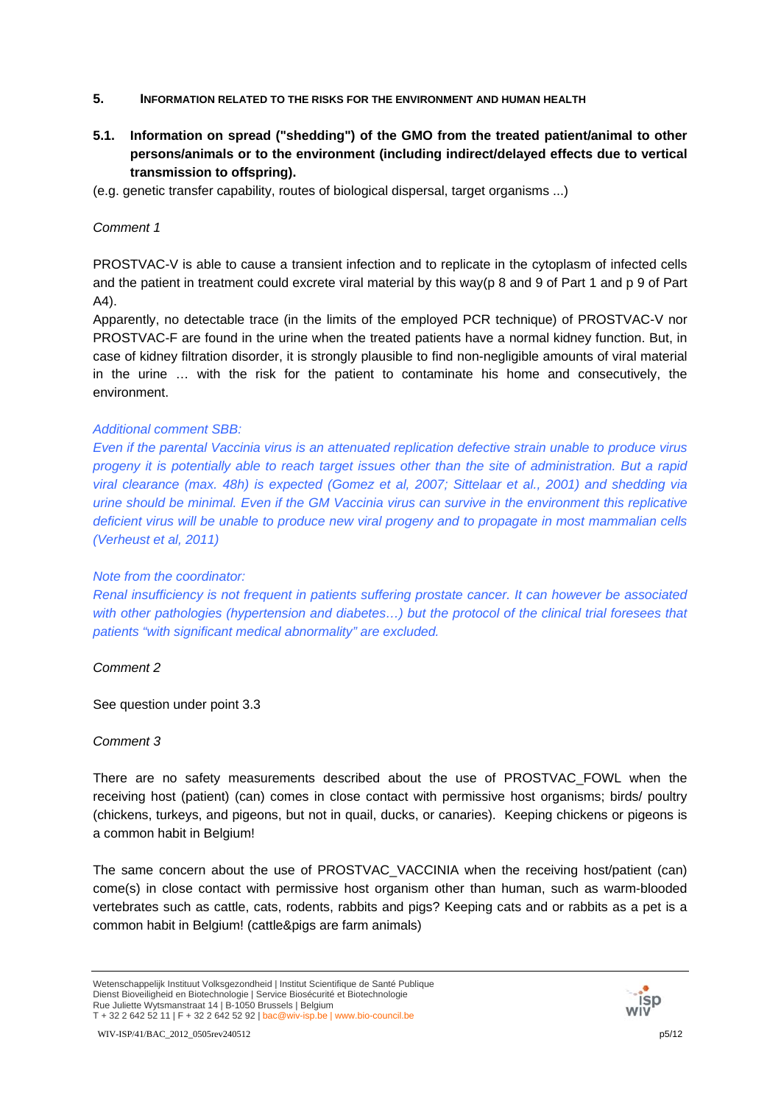- **5. INFORMATION RELATED TO THE RISKS FOR THE ENVIRONMENT AND HUMAN HEALTH**
- **5.1. Information on spread ("shedding") of the GMO from the treated patient/animal to other persons/animals or to the environment (including indirect/delayed effects due to vertical transmission to offspring).**
- (e.g. genetic transfer capability, routes of biological dispersal, target organisms ...)

PROSTVAC-V is able to cause a transient infection and to replicate in the cytoplasm of infected cells and the patient in treatment could excrete viral material by this way(p 8 and 9 of Part 1 and p 9 of Part A4).

Apparently, no detectable trace (in the limits of the employed PCR technique) of PROSTVAC-V nor PROSTVAC-F are found in the urine when the treated patients have a normal kidney function. But, in case of kidney filtration disorder, it is strongly plausible to find non-negligible amounts of viral material in the urine … with the risk for the patient to contaminate his home and consecutively, the environment.

### *Additional comment SBB:*

*Even if the parental Vaccinia virus is an attenuated replication defective strain unable to produce virus progeny it is potentially able to reach target issues other than the site of administration. But a rapid viral clearance (max. 48h) is expected (Gomez et al, 2007; Sittelaar et al., 2001) and shedding via urine should be minimal. Even if the GM Vaccinia virus can survive in the environment this replicative deficient virus will be unable to produce new viral progeny and to propagate in most mammalian cells (Verheust et al, 2011)* 

### *Note from the coordinator:*

*Renal insufficiency is not frequent in patients suffering prostate cancer. It can however be associated with other pathologies (hypertension and diabetes…) but the protocol of the clinical trial foresees that patients "with significant medical abnormality" are excluded.* 

*Comment 2*

See question under point 3.3

### *Comment 3*

There are no safety measurements described about the use of PROSTVAC\_FOWL when the receiving host (patient) (can) comes in close contact with permissive host organisms; birds/ poultry (chickens, turkeys, and pigeons, but not in quail, ducks, or canaries). Keeping chickens or pigeons is a common habit in Belgium!

The same concern about the use of PROSTVAC VACCINIA when the receiving host/patient (can) come(s) in close contact with permissive host organism other than human, such as warm-blooded vertebrates such as cattle, cats, rodents, rabbits and pigs? Keeping cats and or rabbits as a pet is a common habit in Belgium! (cattle&pigs are farm animals)



Wetenschappelijk Instituut Volksgezondheid | Institut Scientifique de Santé Publique Dienst Bioveiligheid en Biotechnologie | Service Biosécurité et Biotechnologie Rue Juliette Wytsmanstraat 14 | B-1050 Brussels | Belgium T + 32 2 642 52 11 | F + 32 2 642 52 92 | bac@wiv-isp.be | www.bio-council.be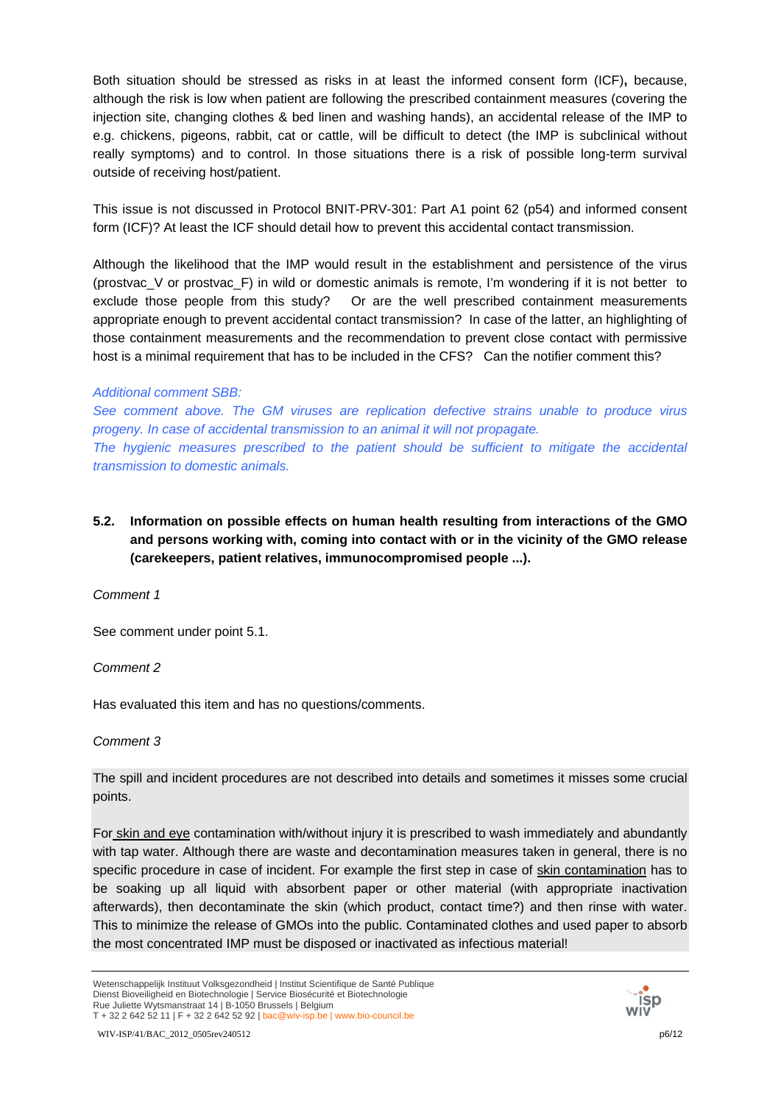Both situation should be stressed as risks in at least the informed consent form (ICF)**,** because, although the risk is low when patient are following the prescribed containment measures (covering the injection site, changing clothes & bed linen and washing hands), an accidental release of the IMP to e.g. chickens, pigeons, rabbit, cat or cattle, will be difficult to detect (the IMP is subclinical without really symptoms) and to control. In those situations there is a risk of possible long-term survival outside of receiving host/patient.

This issue is not discussed in Protocol BNIT-PRV-301: Part A1 point 62 (p54) and informed consent form (ICF)? At least the ICF should detail how to prevent this accidental contact transmission.

Although the likelihood that the IMP would result in the establishment and persistence of the virus (prostvac\_V or prostvac\_F) in wild or domestic animals is remote, I'm wondering if it is not better to exclude those people from this study? Or are the well prescribed containment measurements appropriate enough to prevent accidental contact transmission? In case of the latter, an highlighting of those containment measurements and the recommendation to prevent close contact with permissive host is a minimal requirement that has to be included in the CFS? Can the notifier comment this?

### *Additional comment SBB:*

*See comment above. The GM viruses are replication defective strains unable to produce virus progeny. In case of accidental transmission to an animal it will not propagate. The hygienic measures prescribed to the patient should be sufficient to mitigate the accidental transmission to domestic animals.* 

**5.2. Information on possible effects on human health resulting from interactions of the GMO and persons working with, coming into contact with or in the vicinity of the GMO release (carekeepers, patient relatives, immunocompromised people ...).** 

*Comment 1*

See comment under point 5.1.

*Comment 2*

Has evaluated this item and has no questions/comments.

*Comment 3*

The spill and incident procedures are not described into details and sometimes it misses some crucial points.

For skin and eye contamination with/without injury it is prescribed to wash immediately and abundantly with tap water. Although there are waste and decontamination measures taken in general, there is no specific procedure in case of incident. For example the first step in case of skin contamination has to be soaking up all liquid with absorbent paper or other material (with appropriate inactivation afterwards), then decontaminate the skin (which product, contact time?) and then rinse with water. This to minimize the release of GMOs into the public. Contaminated clothes and used paper to absorb the most concentrated IMP must be disposed or inactivated as infectious material!

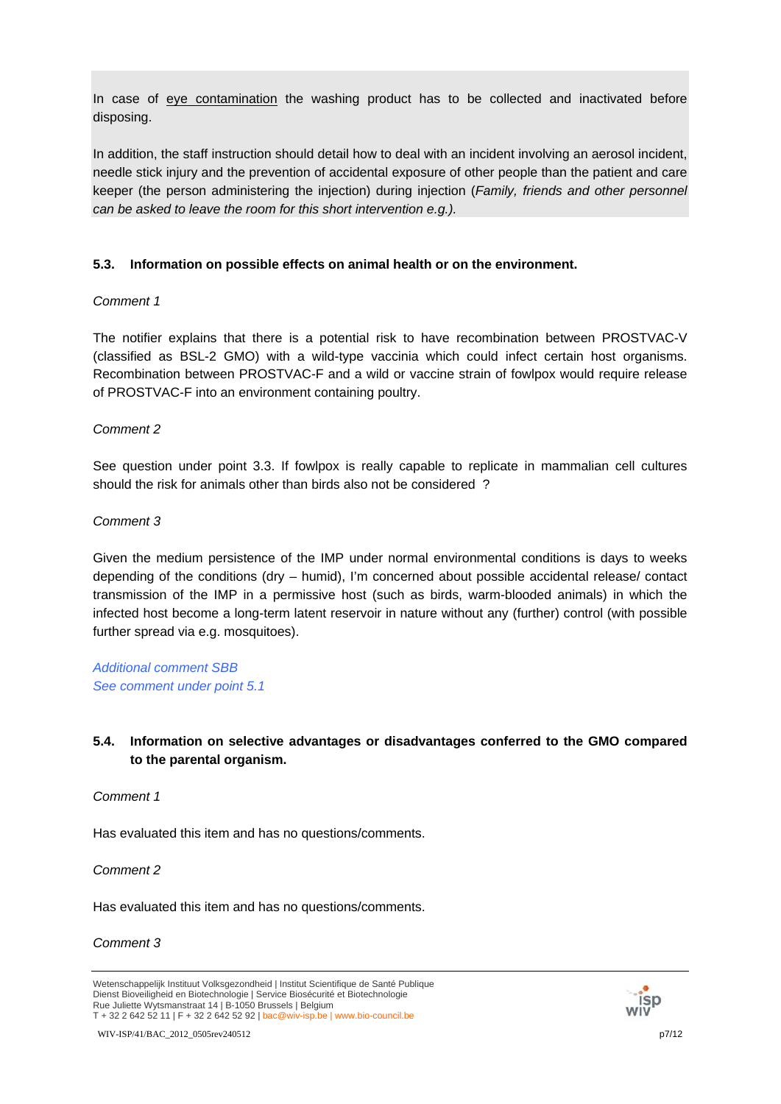In case of eye contamination the washing product has to be collected and inactivated before disposing.

In addition, the staff instruction should detail how to deal with an incident involving an aerosol incident, needle stick injury and the prevention of accidental exposure of other people than the patient and care keeper (the person administering the injection) during injection (*Family, friends and other personnel can be asked to leave the room for this short intervention e.g.).*

# **5.3. Information on possible effects on animal health or on the environment.**

# *Comment 1*

The notifier explains that there is a potential risk to have recombination between PROSTVAC-V (classified as BSL-2 GMO) with a wild-type vaccinia which could infect certain host organisms. Recombination between PROSTVAC-F and a wild or vaccine strain of fowlpox would require release of PROSTVAC-F into an environment containing poultry.

# *Comment 2*

See question under point 3.3. If fowlpox is really capable to replicate in mammalian cell cultures should the risk for animals other than birds also not be considered ?

# *Comment 3*

Given the medium persistence of the IMP under normal environmental conditions is days to weeks depending of the conditions (dry – humid), I'm concerned about possible accidental release/ contact transmission of the IMP in a permissive host (such as birds, warm-blooded animals) in which the infected host become a long-term latent reservoir in nature without any (further) control (with possible further spread via e.g. mosquitoes).

*Additional comment SBB See comment under point 5.1* 

# **5.4. Information on selective advantages or disadvantages conferred to the GMO compared to the parental organism.**

# *Comment 1*

Has evaluated this item and has no questions/comments.

*Comment 2*

Has evaluated this item and has no questions/comments.

### *Comment 3*



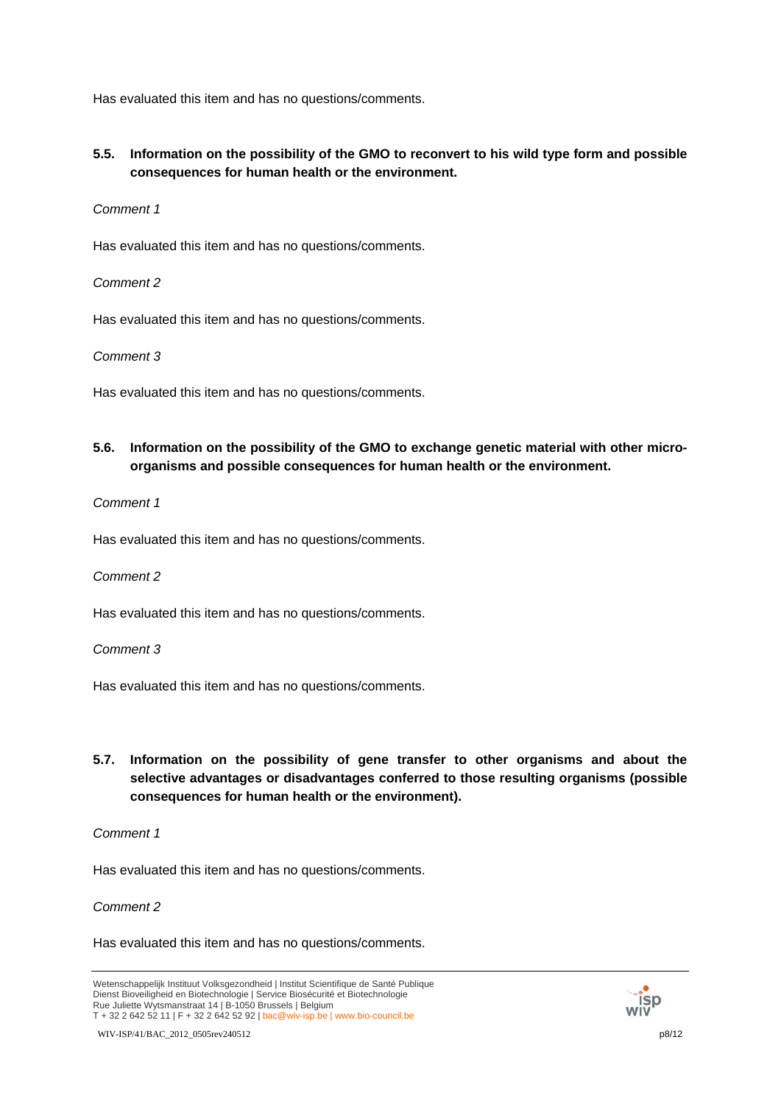Has evaluated this item and has no questions/comments.

# **5.5. Information on the possibility of the GMO to reconvert to his wild type form and possible consequences for human health or the environment.**

### *Comment 1*

Has evaluated this item and has no questions/comments.

### *Comment 2*

Has evaluated this item and has no questions/comments.

### *Comment 3*

Has evaluated this item and has no questions/comments.

# **5.6. Information on the possibility of the GMO to exchange genetic material with other microorganisms and possible consequences for human health or the environment.**

### *Comment 1*

Has evaluated this item and has no questions/comments.

#### *Comment 2*

Has evaluated this item and has no questions/comments.

#### *Comment 3*

Has evaluated this item and has no questions/comments.

# **5.7. Information on the possibility of gene transfer to other organisms and about the selective advantages or disadvantages conferred to those resulting organisms (possible consequences for human health or the environment).**

### *Comment 1*

Has evaluated this item and has no questions/comments.

### *Comment 2*

Has evaluated this item and has no questions/comments.

WIV-ISP/41/BAC\_2012\_0505rev240512 p8/12



Wetenschappelijk Instituut Volksgezondheid | Institut Scientifique de Santé Publique Dienst Bioveiligheid en Biotechnologie | Service Biosécurité et Biotechnologie Rue Juliette Wytsmanstraat 14 | B-1050 Brussels | Belgium T + 32 2 642 52 11 | F + 32 2 642 52 92 | bac@wiv-isp.be | www.bio-council.be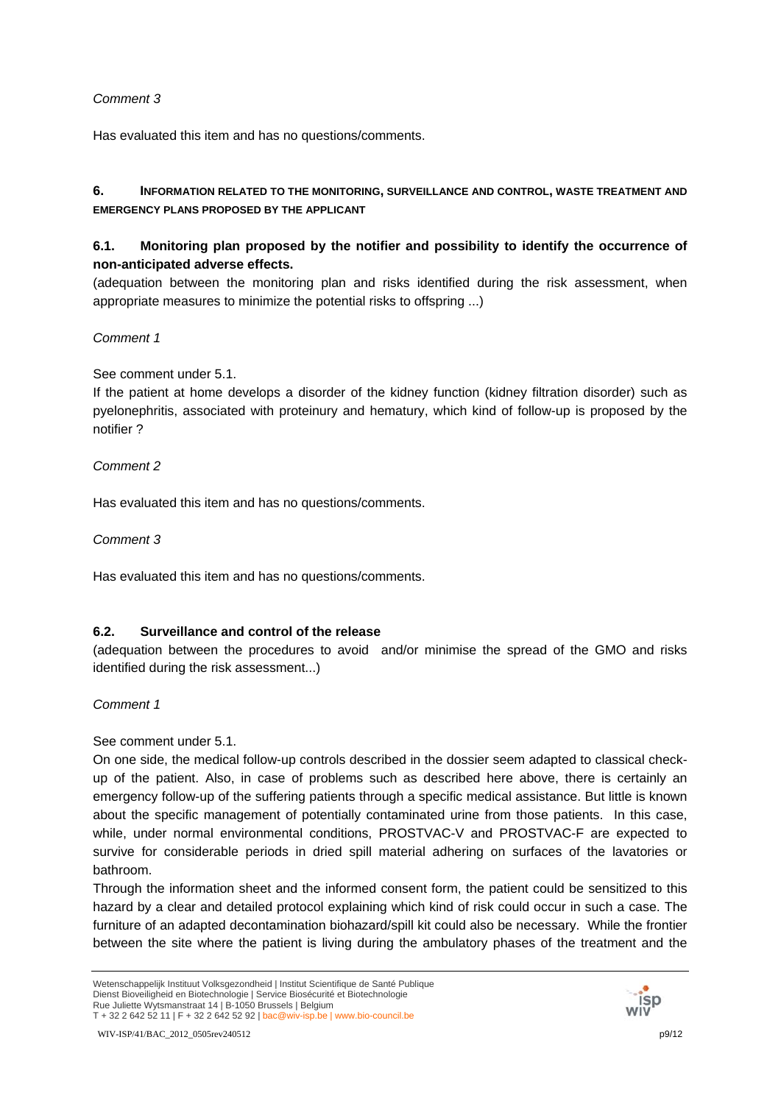Has evaluated this item and has no questions/comments.

# **6. INFORMATION RELATED TO THE MONITORING, SURVEILLANCE AND CONTROL, WASTE TREATMENT AND EMERGENCY PLANS PROPOSED BY THE APPLICANT**

# **6.1. Monitoring plan proposed by the notifier and possibility to identify the occurrence of non-anticipated adverse effects.**

(adequation between the monitoring plan and risks identified during the risk assessment, when appropriate measures to minimize the potential risks to offspring ...)

## *Comment 1*

## See comment under 5.1.

If the patient at home develops a disorder of the kidney function (kidney filtration disorder) such as pyelonephritis, associated with proteinury and hematury, which kind of follow-up is proposed by the notifier ?

## *Comment 2*

Has evaluated this item and has no questions/comments.

*Comment 3*

Has evaluated this item and has no questions/comments.

# **6.2. Surveillance and control of the release**

(adequation between the procedures to avoid and/or minimise the spread of the GMO and risks identified during the risk assessment...)

# *Comment 1*

# See comment under 5.1.

On one side, the medical follow-up controls described in the dossier seem adapted to classical checkup of the patient. Also, in case of problems such as described here above, there is certainly an emergency follow-up of the suffering patients through a specific medical assistance. But little is known about the specific management of potentially contaminated urine from those patients. In this case, while, under normal environmental conditions, PROSTVAC-V and PROSTVAC-F are expected to survive for considerable periods in dried spill material adhering on surfaces of the lavatories or bathroom.

Through the information sheet and the informed consent form, the patient could be sensitized to this hazard by a clear and detailed protocol explaining which kind of risk could occur in such a case. The furniture of an adapted decontamination biohazard/spill kit could also be necessary. While the frontier between the site where the patient is living during the ambulatory phases of the treatment and the

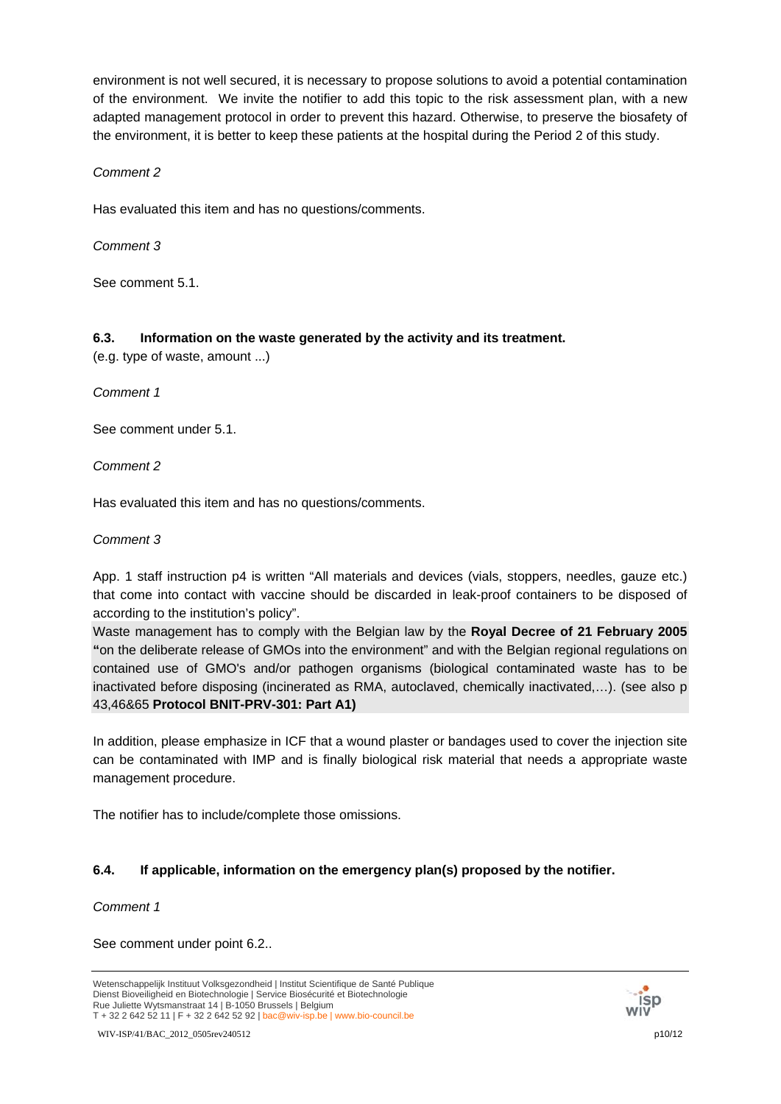environment is not well secured, it is necessary to propose solutions to avoid a potential contamination of the environment. We invite the notifier to add this topic to the risk assessment plan, with a new adapted management protocol in order to prevent this hazard. Otherwise, to preserve the biosafety of the environment, it is better to keep these patients at the hospital during the Period 2 of this study.

## *Comment 2*

Has evaluated this item and has no questions/comments.

*Comment 3*

See comment 5.1.

## **6.3. Information on the waste generated by the activity and its treatment.**

(e.g. type of waste, amount ...)

*Comment 1*

See comment under 5.1.

*Comment 2*

Has evaluated this item and has no questions/comments.

### *Comment 3*

App. 1 staff instruction p4 is written "All materials and devices (vials, stoppers, needles, gauze etc.) that come into contact with vaccine should be discarded in leak-proof containers to be disposed of according to the institution's policy".

Waste management has to comply with the Belgian law by the **Royal Decree of 21 February 2005 "**on the deliberate release of GMOs into the environment" and with the Belgian regional regulations on contained use of GMO's and/or pathogen organisms (biological contaminated waste has to be inactivated before disposing (incinerated as RMA, autoclaved, chemically inactivated,…). (see also p 43,46&65 **Protocol BNIT-PRV-301: Part A1)**

In addition, please emphasize in ICF that a wound plaster or bandages used to cover the injection site can be contaminated with IMP and is finally biological risk material that needs a appropriate waste management procedure.

The notifier has to include/complete those omissions.

# **6.4. If applicable, information on the emergency plan(s) proposed by the notifier.**

*Comment 1*

See comment under point 6.2..



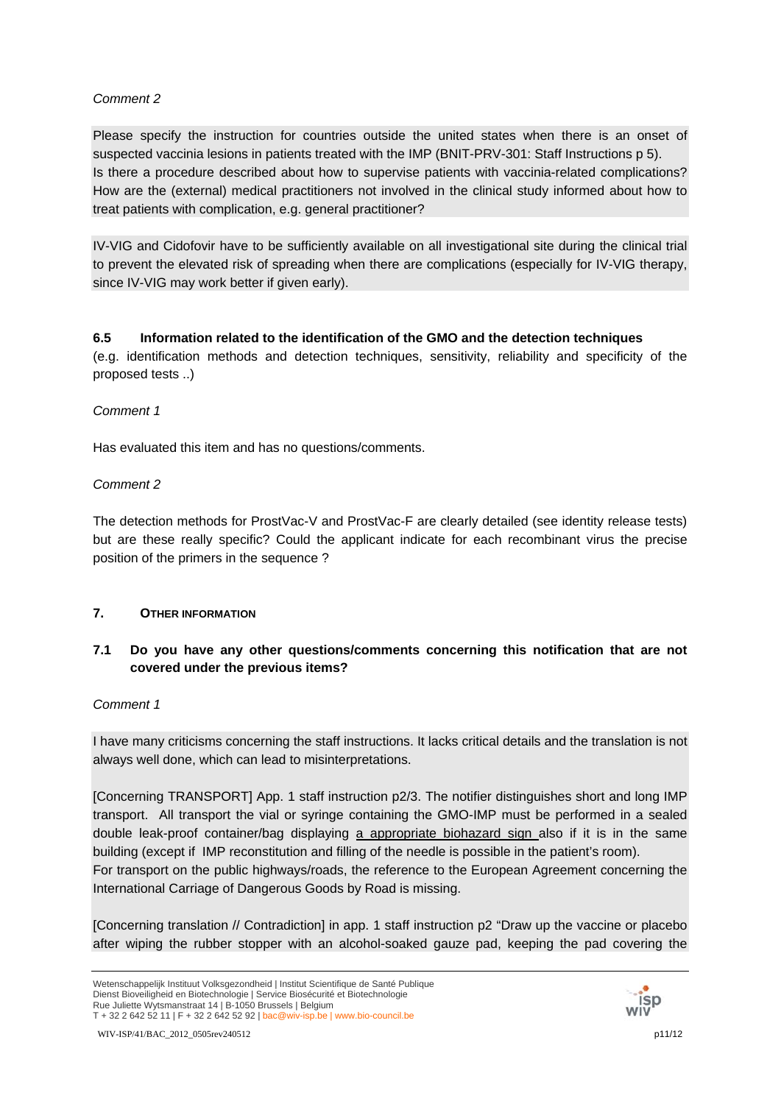Please specify the instruction for countries outside the united states when there is an onset of suspected vaccinia lesions in patients treated with the IMP (BNIT-PRV-301: Staff Instructions p 5). Is there a procedure described about how to supervise patients with vaccinia-related complications? How are the (external) medical practitioners not involved in the clinical study informed about how to treat patients with complication, e.g. general practitioner?

IV-VIG and Cidofovir have to be sufficiently available on all investigational site during the clinical trial to prevent the elevated risk of spreading when there are complications (especially for IV-VIG therapy, since IV-VIG may work better if given early).

# **6.5 Information related to the identification of the GMO and the detection techniques**

(e.g. identification methods and detection techniques, sensitivity, reliability and specificity of the proposed tests ..)

## *Comment 1*

Has evaluated this item and has no questions/comments.

# *Comment 2*

The detection methods for ProstVac-V and ProstVac-F are clearly detailed (see identity release tests) but are these really specific? Could the applicant indicate for each recombinant virus the precise position of the primers in the sequence ?

# **7. OTHER INFORMATION**

# **7.1 Do you have any other questions/comments concerning this notification that are not covered under the previous items?**

### *Comment 1*

I have many criticisms concerning the staff instructions. It lacks critical details and the translation is not always well done, which can lead to misinterpretations.

[Concerning TRANSPORT] App. 1 staff instruction p2/3. The notifier distinguishes short and long IMP transport. All transport the vial or syringe containing the GMO-IMP must be performed in a sealed double leak-proof container/bag displaying a appropriate biohazard sign also if it is in the same building (except if IMP reconstitution and filling of the needle is possible in the patient's room).

For transport on the public highways/roads, the reference to the European Agreement concerning the International Carriage of Dangerous Goods by Road is missing.

[Concerning translation // Contradiction] in app. 1 staff instruction p2 "Draw up the vaccine or placebo after wiping the rubber stopper with an alcohol-soaked gauze pad, keeping the pad covering the



Wetenschappelijk Instituut Volksgezondheid | Institut Scientifique de Santé Publique Dienst Bioveiligheid en Biotechnologie | Service Biosécurité et Biotechnologie Rue Juliette Wytsmanstraat 14 | B-1050 Brussels | Belgium T + 32 2 642 52 11 | F + 32 2 642 52 92 | bac@wiv-isp.be | www.bio-council.be